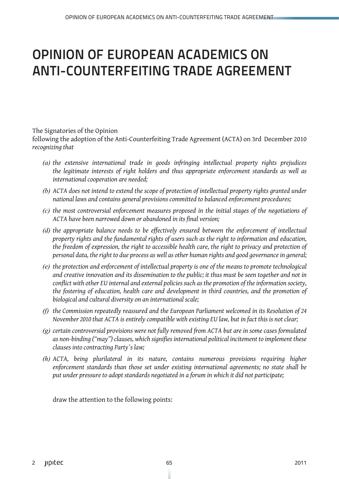# OPINION OF EUROPEAN ACADEMICS ON ANTI-COUNTERFEITING TRADE AGREEMENT

The Signatories of the Opinion

following the adoption of the Anti-Counterfeiting Trade Agreement (ACTA) on 3rd December 2010 *recognizing that*

- *(a) the extensive international trade in goods infringing intellectual property rights prejudices the legitimate interests of right holders and thus appropriate enforcement standards as well as international cooperation are needed;*
- *(b) ACTA does not intend to extend the scope of protection of intellectual property rights granted under national laws and contains general provisions committed to balanced enforcement procedures;*
- *(c) the most controversial enforcement measures proposed in the initial stages of the negotiations of ACTA have been narrowed down or abandoned in its final version;*
- *(d) the appropriate balance needs to be effectively ensured between the enforcement of intellectual property rights and the fundamental rights of users such as the right to information and education, the freedom of expression, the right to accessible health care, the right to privacy and protection of personal data, the right to due process as well as other human rights and good governance in general;*
- *(e) the protection and enforcement of intellectual property is one of the means to promote technological and creative innovation and its dissemination to the public; it thus must be seen together and not in conflict with other EU internal and external policies such as the promotion of the information society, the fostering of education, health care and development in third countries, and the promotion of biological and cultural diversity on an international scale;*
- *(f) the Commission repeatedly reassured and the European Parliament welcomed in its Resolution of 24 November 2010 that ACTA is entirely compatible with existing EU law, but in fact this is not clear;*
- *(g) certain controversial provisions were not fully removed from ACTA but are in some cases formulated as non-binding ("may") clauses, which signifies international political incitement to implement these clauses into contracting Party`s law;*
- *(h) ACTA, being plurilateral in its nature, contains numerous provisions requiring higher enforcement standards than those set under existing international agreements; no state shall be put under pressure to adopt standards negotiated in a forum in which it did not participate;*

draw the attention to the following points: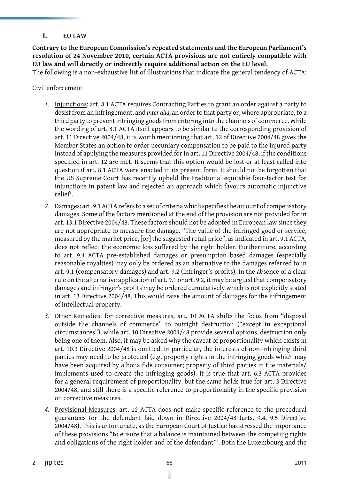# **I. EU LAW**

**Contrary to the European Commission's repeated statements and the European Parliament's resolution of 24 November 2010, certain ACTA provisions are not entirely compatible with EU law and will directly or indirectly require additional action on the EU level.** 

The following is a non-exhaustive list of illustrations that indicate the general tendency of ACTA:

Civil enforcement

- *1.* Injunctions: art. 8.1 ACTA requires Contracting Parties to grant an order against a party to desist from an infringement, and *inter alia,* an order to that party or, where appropriate, to a third party to prevent infringing goods from entering into the channels of commerce. While the wording of art. 8.1 ACTA itself appears to be similar to the corresponding provision of art. 11 Directive 2004/48, it is worth mentioning that art. 12 of Directive 2004/48 gives the Member States an option to order pecuniary compensation to be paid to the injured party instead of applying the measures provided for in art. 11 Directive 2004/48, if the conditions specified in art. 12 are met. It seems that this option would be lost or at least called into question if art. 8.1 ACTA were enacted in its present form. It should not be forgotten that the US Supreme Court has recently upheld the traditional equitable four-factor test for injunctions in patent law and rejected an approach which favours automatic injunctive relief<sup>1</sup>.
- *2.* Damages: art. 9.1 ACTA refers to a set of criteria which specifies the amount of compensatory damages. Some of the factors mentioned at the end of the provision are not provided for in art. 13.1 Directive 2004/48. These factors should not be adopted in European law since they are not appropriate to measure the damage. "The value of the infringed good or service, measured by the market price, [or] the suggested retail price", as indicated in art. 9.1 ACTA, does not reflect the economic loss suffered by the right holder. Furthermore, according to art. 9.4 ACTA pre-established damages or presumption based damages (especially reasonable royalties) may only be ordered as an alternative to the damages referred to in art. 9.1 (compensatory damages) and art. 9.2 (infringer's profits). In the absence of a clear rule on the alternative application of art. 9.1 or art. 9.2, it may be argued that compensatory damages and infringer's profits may be ordered cumulatively which is not explicitly stated in art. 13 Directive 2004/48. This would raise the amount of damages for the infringement of intellectual property.
- *3.* Other Remedies: for corrective measures, art. 10 ACTA shifts the focus from "disposal outside the channels of commerce" to outright destruction ("except in exceptional circumstances"), while art. 10 Directive 2004/48 provide several options, destruction only being one of them. Also, it may be asked why the caveat of proportionality which exists in art. 10.3 Directive 2004/48 is omitted. In particular, the interests of non-infringing third parties may need to be protected (e.g. property rights in the infringing goods which may have been acquired by a bona fide consumer; property of third parties in the materials/ implements used to create the infringing goods). It is true that art. 6.3 ACTA provides for a general requirement of proportionality, but the same holds true for art. 3 Directive 2004/48, and still there is a specific reference to proportionality in the specific provision on corrective measures.
- *4.* Provisional Measures: art. 12 ACTA does not make specific reference to the procedural guarantees for the defendant laid down in Directive 2004/48 (arts. 9.4, 9.5 Directive 2004/48). This is unfortunate, as the European Court of Justice has stressed the importance of these provisions "to ensure that a balance is maintained between the competing rights and obligations of the right holder and of the defendant"<sup>2</sup>. Both the Luxembourg and the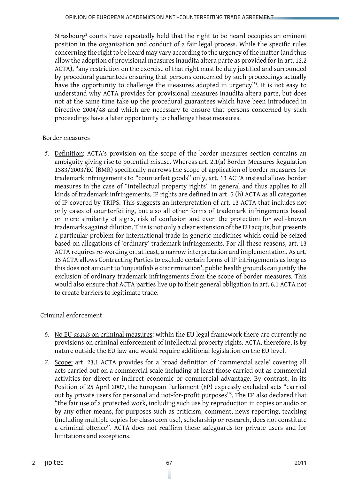Strasbourg<sup>3</sup> courts have repeatedly held that the right to be heard occupies an eminent position in the organisation and conduct of a fair legal process. While the specific rules concerning the right to be heard may vary according to the urgency of the matter (and thus allow the adoption of provisional measures inaudita altera parte as provided for in art. 12.2 ACTA), "any restriction on the exercise of that right must be duly justified and surrounded by procedural guarantees ensuring that persons concerned by such proceedings actually have the opportunity to challenge the measures adopted in urgency"4 . It is not easy to understand why ACTA provides for provisional measures inaudita altera parte, but does not at the same time take up the procedural guarantees which have been introduced in Directive 2004/48 and which are necessary to ensure that persons concerned by such proceedings have a later opportunity to challenge these measures.

### Border measures

*5.* Definition: ACTA's provision on the scope of the border measures section contains an ambiguity giving rise to potential misuse. Whereas art. 2.1(a) Border Measures Regulation 1383/2003/EC (BMR) specifically narrows the scope of application of border measures for trademark infringements to "counterfeit goods" only, art. 13 ACTA instead allows border measures in the case of "intellectual property rights" in general and thus applies to all kinds of trademark infringements. IP rights are defined in art. 5 (h) ACTA as all categories of IP covered by TRIPS. This suggests an interpretation of art. 13 ACTA that includes not only cases of counterfeiting, but also all other forms of trademark infringements based on mere similarity of signs, risk of confusion and even the protection for well-known trademarks against dilution. This is not only a clear extension of the EU acquis, but presents a particular problem for international trade in generic medicines which could be seized based on allegations of 'ordinary' trademark infringements. For all these reasons, art. 13 ACTA requires re-wording or, at least, a narrow interpretation and implementation. As art. 13 ACTA allows Contracting Parties to exclude certain forms of IP infringements as long as this does not amount to 'unjustifiable discrimination', public health grounds can justify the exclusion of ordinary trademark infringements from the scope of border measures. This would also ensure that ACTA parties live up to their general obligation in art. 6.1 ACTA not to create barriers to legitimate trade.

### Criminal enforcement

- *6.* No EU *acquis* on criminal measures: within the EU legal framework there are currently no provisions on criminal enforcement of intellectual property rights. ACTA, therefore, is by nature outside the EU law and would require additional legislation on the EU level.
- *7.* Scope: art. 23.1 ACTA provides for a broad definition of 'commercial scale' covering all acts carried out on a commercial scale including at least those carried out as commercial activities for direct or indirect economic or commercial advantage. By contrast, in its Position of 25 April 2007, the European Parliament (EP) expressly excluded acts "carried out by private users for personal and not-for-profit purposes"<sup>5</sup> . The EP also declared that "the fair use of a protected work, including such use by reproduction in copies or audio or by any other means, for purposes such as criticism, comment, news reporting, teaching (including multiple copies for classroom use), scholarship or research, does not constitute a criminal offence". ACTA does not reaffirm these safeguards for private users and for limitations and exceptions.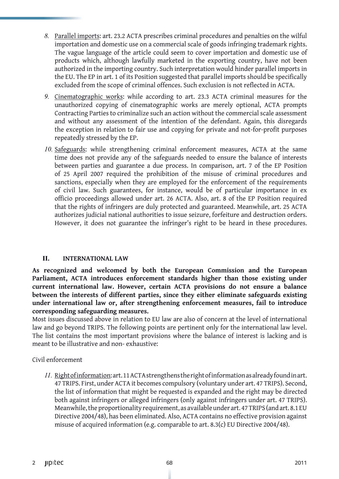- *8.* Parallel imports: art. 23.2 ACTA prescribes criminal procedures and penalties on the wilful importation and domestic use on a commercial scale of goods infringing trademark rights. The vague language of the article could seem to cover importation and domestic use of products which, although lawfully marketed in the exporting country, have not been authorized in the importing country. Such interpretation would hinder parallel imports in the EU. The EP in art. 1 of its Position suggested that parallel imports should be specifically excluded from the scope of criminal offences. Such exclusion is not reflected in ACTA.
- *9.* Cinematographic works: while according to art. 23.3 ACTA criminal measures for the unauthorized copying of cinematographic works are merely optional, ACTA prompts Contracting Parties to criminalize such an action without the commercial scale assessment and without any assessment of the intention of the defendant. Again, this disregards the exception in relation to fair use and copying for private and not-for-profit purposes repeatedly stressed by the EP.
- *10.* Safeguards: while strengthening criminal enforcement measures, ACTA at the same time does not provide any of the safeguards needed to ensure the balance of interests between parties and guarantee a due process. In comparison, art. 7 of the EP Position of 25 April 2007 required the prohibition of the misuse of criminal procedures and sanctions, especially when they are employed for the enforcement of the requirements of civil law. Such guarantees, for instance, would be of particular importance in ex officio proceedings allowed under art. 26 ACTA. Also, art. 8 of the EP Position required that the rights of infringers are duly protected and guaranteed. Meanwhile, art. 25 ACTA authorizes judicial national authorities to issue seizure, forfeiture and destruction orders. However, it does not guarantee the infringer's right to be heard in these procedures.

### **II. INTERNATIONAL LAW**

**As recognized and welcomed by both the European Commission and the European Parliament, ACTA introduces enforcement standards higher than those existing under current international law. However, certain ACTA provisions do not ensure a balance between the interests of different parties, since they either eliminate safeguards existing under international law or, after strengthening enforcement measures, fail to introduce corresponding safeguarding measures.** 

Most issues discussed above in relation to EU law are also of concern at the level of international law and go beyond TRIPS. The following points are pertinent only for the international law level. The list contains the most important provisions where the balance of interest is lacking and is meant to be illustrative and non- exhaustive:

### Civil enforcement

*11.* Right of information: art. 11 ACTA strengthens the right of information as already found in art. 47 TRIPS. First, under ACTA it becomes compulsory (voluntary under art. 47 TRIPS). Second, the list of information that might be requested is expanded and the right may be directed both against infringers or alleged infringers (only against infringers under art. 47 TRIPS). Meanwhile, the proportionality requirement, as available under art. 47 TRIPS (and art. 8.1 EU Directive 2004/48), has been eliminated. Also, ACTA contains no effective provision against misuse of acquired information (e.g. comparable to art. 8.3(c) EU Directive 2004/48).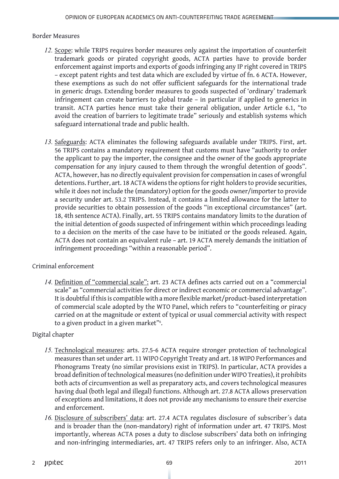## Border Measures

- *12.* Scope: while TRIPS requires border measures only against the importation of counterfeit trademark goods or pirated copyright goods, ACTA parties have to provide border enforcement against imports and exports of goods infringing any IP right covered in TRIPS – except patent rights and test data which are excluded by virtue of fn. 6 ACTA. However, these exemptions as such do not offer sufficient safeguards for the international trade in generic drugs. Extending border measures to goods suspected of 'ordinary' trademark infringement can create barriers to global trade – in particular if applied to generics in transit. ACTA parties hence must take their general obligation, under Article 6.1, "to avoid the creation of barriers to legitimate trade" seriously and establish systems which safeguard international trade and public health.
- *13.* Safeguards: ACTA eliminates the following safeguards available under TRIPS. First, art. 56 TRIPS contains a mandatory requirement that customs must have "authority to order the applicant to pay the importer, the consignee and the owner of the goods appropriate compensation for any injury caused to them through the wrongful detention of goods". ACTA, however, has no directly equivalent provision for compensation in cases of wrongful detentions. Further, art. 18 ACTA widens the options for right holders to provide securities, while it does not include the (mandatory) option for the goods owner/importer to provide a security under art. 53.2 TRIPS. Instead, it contains a limited allowance for the latter to provide securities to obtain possession of the goods "in exceptional circumstances" (art. 18, 4th sentence ACTA). Finally, art. 55 TRIPS contains mandatory limits to the duration of the initial detention of goods suspected of infringement within which proceedings leading to a decision on the merits of the case have to be initiated or the goods released. Again, ACTA does not contain an equivalent rule – art. 19 ACTA merely demands the initiation of infringement proceedings "within a reasonable period".

# Criminal enforcement

14. Definition of "commercial scale": art. 23 ACTA defines acts carried out on a "commercial scale" as "commercial activities for direct or indirect economic or commercial advantage". It is doubtful if this is compatible with a more flexible market/product-based interpretation of commercial scale adopted by the WTO Panel, which refers to "counterfeiting or piracy carried on at the magnitude or extent of typical or usual commercial activity with respect to a given product in a given market"<sup>6</sup>.

# Digital chapter

- *15.* Technological measures: arts. 27.5-6 ACTA require stronger protection of technological measures than set under art. 11 WIPO Copyright Treaty and art. 18 WIPO Performances and Phonograms Treaty (no similar provisions exist in TRIPS). In particular, ACTA provides a broad definition of technological measures (no definition under WIPO Treaties), it prohibits both acts of circumvention as well as preparatory acts, and covers technological measures having dual (both legal and illegal) functions. Although art. 27.8 ACTA allows preservation of exceptions and limitations, it does not provide any mechanisms to ensure their exercise and enforcement.
- *16.* Disclosure of subscribers' data: art. 27.4 ACTA regulates disclosure of subscriber´s data and is broader than the (non-mandatory) right of information under art. 47 TRIPS. Most importantly, whereas ACTA poses a duty to disclose subscribers' data both on infringing and non-infringing intermediaries, art. 47 TRIPS refers only to an infringer. Also, ACTA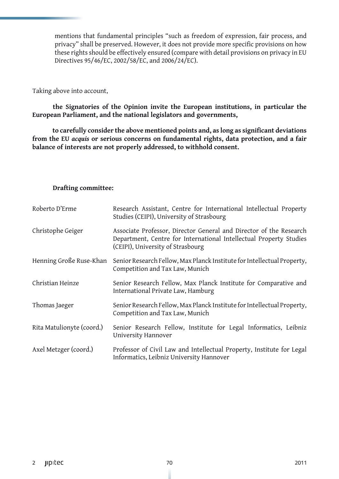mentions that fundamental principles "such as freedom of expression, fair process, and privacy" shall be preserved. However, it does not provide more specific provisions on how these rights should be effectively ensured (compare with detail provisions on privacy in EU Directives 95/46/EC, 2002/58/EC, and 2006/24/EC).

Taking above into account,

**the Signatories of the Opinion invite the European institutions, in particular the European Parliament, and the national legislators and governments,** 

**to carefully consider the above mentioned points and, as long as significant deviations from the EU** *acquis* **or serious concerns on fundamental rights, data protection, and a fair balance of interests are not properly addressed, to withhold consent.**

#### **Drafting committee:**

| Roberto D'Erme            | Research Assistant, Centre for International Intellectual Property<br>Studies (CEIPI), University of Strasbourg                                                               |
|---------------------------|-------------------------------------------------------------------------------------------------------------------------------------------------------------------------------|
| Christophe Geiger         | Associate Professor, Director General and Director of the Research<br>Department, Centre for International Intellectual Property Studies<br>(CEIPI), University of Strasbourg |
| Henning Große Ruse-Khan   | Senior Research Fellow, Max Planck Institute for Intellectual Property,<br>Competition and Tax Law, Munich                                                                    |
| Christian Heinze          | Senior Research Fellow, Max Planck Institute for Comparative and<br>International Private Law, Hamburg                                                                        |
| Thomas Jaeger             | Senior Research Fellow, Max Planck Institute for Intellectual Property,<br>Competition and Tax Law, Munich                                                                    |
| Rita Matulionyte (coord.) | Senior Research Fellow, Institute for Legal Informatics, Leibniz<br>University Hannover                                                                                       |
| Axel Metzger (coord.)     | Professor of Civil Law and Intellectual Property, Institute for Legal<br>Informatics, Leibniz University Hannover                                                             |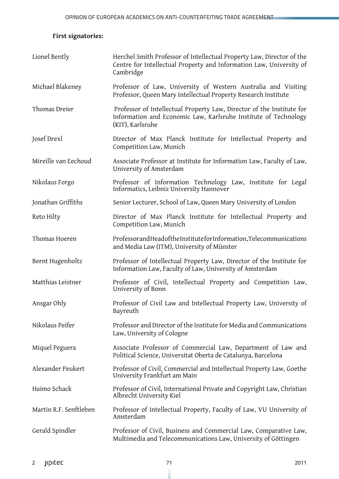# **First signatories:**

| Lionel Bently          | Herchel Smith Professor of Intellectual Property Law, Director of the<br>Centre for Intellectual Property and Information Law, University of<br>Cambridge    |
|------------------------|--------------------------------------------------------------------------------------------------------------------------------------------------------------|
| Michael Blakeney       | Professor of Law, University of Western Australia and Visiting<br>Professor, Queen Mary Intellectual Property Research Institute                             |
| Thomas Dreier          | Professor of Intellectual Property Law, Director of the Institute for<br>Information and Economic Law, Karlsruhe Institute of Technology<br>(KIT), Karlsruhe |
| Josef Drexl            | Director of Max Planck Institute for Intellectual Property and<br>Competition Law, Munich                                                                    |
| Mireille van Eechoud   | Associate Professor at Institute for Information Law, Faculty of Law,<br>University of Amsterdam                                                             |
| Nikolaus Forgo         | Professor of Information Technology Law, Institute for Legal<br>Informatics, Leibniz University Hannover                                                     |
| Jonathan Griffiths     | Senior Lecturer, School of Law, Queen Mary University of London                                                                                              |
| Reto Hilty             | Director of Max Planck Institute for Intellectual Property and<br>Competition Law, Munich                                                                    |
| Thomas Hoeren          | ProfessorandHeadoftheInstituteforInformation,Telecommunications<br>and Media Law (ITM), University of Münster                                                |
| Bernt Hugenholtz       | Professor of Intellectual Property Law, Director of the Institute for<br>Information Law, Faculty of Law, University of Amsterdam                            |
| Matthias Leistner      | Professor of Civil, Intellectual Property and Competition Law,<br>University of Bonn                                                                         |
| Ansgar Ohly            | Professor of Civil Law and Intellectual Property Law, University of<br>Bayreuth                                                                              |
| Nikolaus Peifer        | Professor and Director of the Institute for Media and Communications<br>Law, University of Cologne                                                           |
| Miquel Peguera         | Associate Professor of Commercial Law, Department of Law and<br>Political Science, Universitat Oberta de Catalunya, Barcelona                                |
| Alexander Peukert      | Professor of Civil, Commercial and Intellectual Property Law, Goethe<br>University Frankfurt am Main                                                         |
| Haimo Schack           | Professor of Civil, International Private and Copyright Law, Christian<br>Albrecht University Kiel                                                           |
| Martin R.F. Senftleben | Professor of Intellectual Property, Faculty of Law, VU University of<br>Amsterdam                                                                            |
| Gerald Spindler        | Professor of Civil, Business and Commercial Law, Comparative Law,<br>Multimedia and Telecommunications Law, University of Göttingen                          |